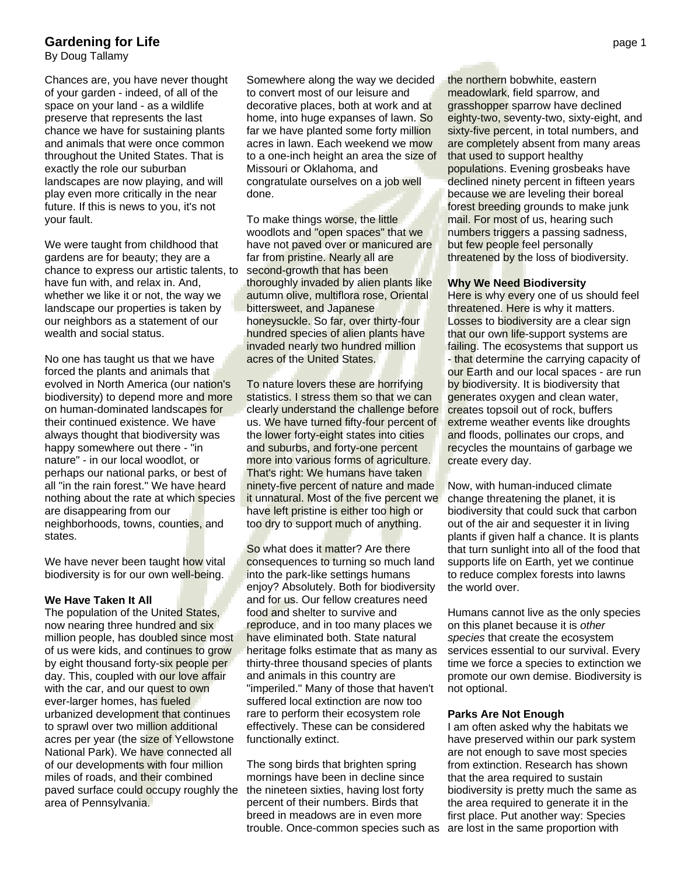## **Gardening for Life** page 1

By Doug Tallamy

Chances are, you have never thought of your garden - indeed, of all of the space on your land - as a wildlife preserve that represents the last chance we have for sustaining plants and animals that were once common throughout the United States. That is exactly the role our suburban landscapes are now playing, and will play even more critically in the near future. If this is news to you, it's not your fault.

We were taught from childhood that gardens are for beauty; they are a chance to express our artistic talents, to have fun with, and relax in. And, whether we like it or not, the way we landscape our properties is taken by our neighbors as a statement of our wealth and social status.

No one has taught us that we have forced the plants and animals that evolved in North America (our nation's biodiversity) to depend more and more on human-dominated landscapes for their continued existence. We have always thought that biodiversity was happy somewhere out there - "in nature" - in our local woodlot, or perhaps our national parks, or best of all "in the rain forest." We have heard nothing about the rate at which species are disappearing from our neighborhoods, towns, counties, and states.

We have never been taught how vital biodiversity is for our own well-being.

### **We Have Taken It All**

The population of the United States, now nearing three hundred and six million people, has doubled since most of us were kids, and continues to grow by eight thousand forty-six people per day. This, coupled with our love affair with the car, and our quest to own ever-larger homes, has fueled urbanized development that continues to sprawl over two million additional acres per year (the size of Yellowstone National Park). We have connected all of our developments with four million miles of roads, and their combined paved surface could occupy roughly the area of Pennsylvania.

Somewhere along the way we decided to convert most of our leisure and decorative places, both at work and at home, into huge expanses of lawn. So far we have planted some forty million acres in lawn. Each weekend we mow to a one-inch height an area the size of Missouri or Oklahoma, and congratulate ourselves on a job well done.

To make things worse, the little woodlots and "open spaces" that we have not paved over or manicured are far from pristine. Nearly all are second-growth that has been thoroughly invaded by alien plants like autumn olive, multiflora rose, Oriental bittersweet, and Japanese honeysuckle. So far, over thirty-four hundred species of alien plants have invaded nearly two hundred million acres of the United States.

To nature lovers these are horrifying statistics. I stress them so that we can clearly understand the challenge before us. We have turned fifty-four percent of the lower forty-eight states into cities and suburbs, and forty-one percent more into various forms of agriculture. That's right: We humans have taken ninety-five percent of nature and made it unnatural. Most of the five percent we have left pristine is either too high or too dry to support much of anything.

So what does it matter? Are there consequences to turning so much land into the park-like settings humans enjoy? Absolutely. Both for biodiversity and for us. Our fellow creatures need food and shelter to survive and reproduce, and in too many places we have eliminated both. State natural heritage folks estimate that as many as thirty-three thousand species of plants and animals in this country are "imperiled." Many of those that haven't suffered local extinction are now too rare to perform their ecosystem role effectively. These can be considered functionally extinct.

The song birds that brighten spring mornings have been in decline since the nineteen sixties, having lost forty percent of their numbers. Birds that breed in meadows are in even more trouble. Once-common species such as are lost in the same proportion with

the northern bobwhite, eastern meadowlark, field sparrow, and grasshopper sparrow have declined eighty-two, seventy-two, sixty-eight, and sixty-five percent, in total numbers, and are completely absent from many areas that used to support healthy populations. Evening grosbeaks have declined ninety percent in fifteen years because we are leveling their boreal forest breeding grounds to make junk mail. For most of us, hearing such numbers triggers a passing sadness, but few people feel personally threatened by the loss of biodiversity.

#### **Why We Need Biodiversity**

Here is why every one of us should feel threatened. Here is why it matters. Losses to biodiversity are a clear sign that our own life-support systems are failing. The ecosystems that support us - that determine the carrying capacity of our Earth and our local spaces - are run by biodiversity. It is biodiversity that generates oxygen and clean water, creates topsoil out of rock, buffers extreme weather events like droughts and floods, pollinates our crops, and recycles the mountains of garbage we create every day.

Now, with human-induced climate change threatening the planet, it is biodiversity that could suck that carbon out of the air and sequester it in living plants if given half a chance. It is plants that turn sunlight into all of the food that supports life on Earth, yet we continue to reduce complex forests into lawns the world over.

Humans cannot live as the only species on this planet because it is *other species* that create the ecosystem services essential to our survival. Every time we force a species to extinction we promote our own demise. Biodiversity is not optional.

#### **Parks Are Not Enough**

I am often asked why the habitats we have preserved within our park system are not enough to save most species from extinction. Research has shown that the area required to sustain biodiversity is pretty much the same as the area required to generate it in the first place. Put another way: Species